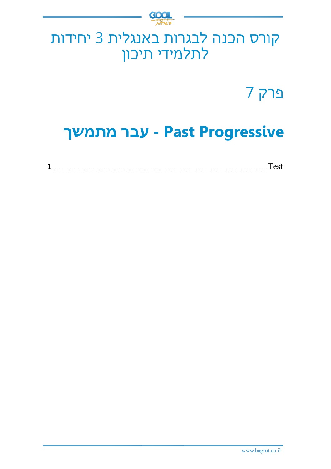

## קורס הכנה לבגרות באנגלית 3 יחידות לתלמידי תיכון

פרק 7

# **Progressive Past - עבר מתמשך**

|--|